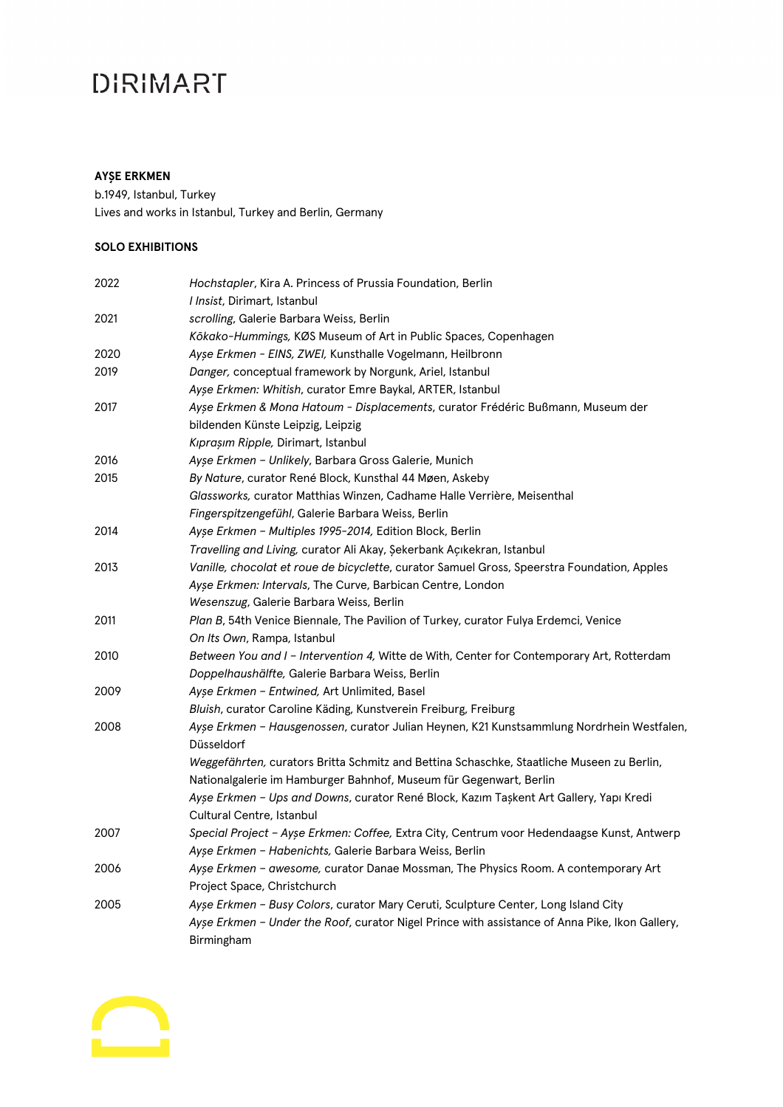#### **AYŞE ERKMEN**

b.1949, Istanbul, Turkey Lives and works in Istanbul, Turkey and Berlin, Germany

#### **SOLO EXHIBITIONS**

| 2022 | Hochstapler, Kira A. Princess of Prussia Foundation, Berlin                                             |
|------|---------------------------------------------------------------------------------------------------------|
|      | I Insist, Dirimart, Istanbul                                                                            |
| 2021 | scrolling, Galerie Barbara Weiss, Berlin                                                                |
|      | Kōkako-Hummings, KØS Museum of Art in Public Spaces, Copenhagen                                         |
| 2020 | Ayşe Erkmen - EINS, ZWEI, Kunsthalle Vogelmann, Heilbronn                                               |
| 2019 | Danger, conceptual framework by Norgunk, Ariel, Istanbul                                                |
|      | Ayşe Erkmen: Whitish, curator Emre Baykal, ARTER, Istanbul                                              |
| 2017 | Ayşe Erkmen & Mona Hatoum - Displacements, curator Frédéric Bußmann, Museum der                         |
|      | bildenden Künste Leipzig, Leipzig                                                                       |
|      | Kıpraşım Ripple, Dirimart, Istanbul                                                                     |
| 2016 | Ayşe Erkmen - Unlikely, Barbara Gross Galerie, Munich                                                   |
| 2015 | By Nature, curator René Block, Kunsthal 44 Møen, Askeby                                                 |
|      | Glassworks, curator Matthias Winzen, Cadhame Halle Verrière, Meisenthal                                 |
|      | Fingerspitzengefühl, Galerie Barbara Weiss, Berlin                                                      |
| 2014 | Ayşe Erkmen - Multiples 1995-2014, Edition Block, Berlin                                                |
|      | Travelling and Living, curator Ali Akay, Şekerbank Açıkekran, Istanbul                                  |
| 2013 | Vanille, chocolat et roue de bicyclette, curator Samuel Gross, Speerstra Foundation, Apples             |
|      | Ayse Erkmen: Intervals, The Curve, Barbican Centre, London                                              |
|      | Wesenszug, Galerie Barbara Weiss, Berlin                                                                |
| 2011 | Plan B, 54th Venice Biennale, The Pavilion of Turkey, curator Fulya Erdemci, Venice                     |
|      | On Its Own, Rampa, Istanbul                                                                             |
| 2010 | Between You and I - Intervention 4, Witte de With, Center for Contemporary Art, Rotterdam               |
|      | Doppelhaushälfte, Galerie Barbara Weiss, Berlin                                                         |
| 2009 | Ayşe Erkmen - Entwined, Art Unlimited, Basel                                                            |
|      | Bluish, curator Caroline Käding, Kunstverein Freiburg, Freiburg                                         |
| 2008 | Ayşe Erkmen - Hausgenossen, curator Julian Heynen, K21 Kunstsammlung Nordrhein Westfalen,<br>Düsseldorf |
|      | Weggefährten, curators Britta Schmitz and Bettina Schaschke, Staatliche Museen zu Berlin,               |
|      | Nationalgalerie im Hamburger Bahnhof, Museum für Gegenwart, Berlin                                      |
|      | Ayşe Erkmen - Ups and Downs, curator René Block, Kazım Taşkent Art Gallery, Yapı Kredi                  |
|      | Cultural Centre, Istanbul                                                                               |
| 2007 | Special Project - Ayșe Erkmen: Coffee, Extra City, Centrum voor Hedendaagse Kunst, Antwerp              |
|      | Ayşe Erkmen - Habenichts, Galerie Barbara Weiss, Berlin                                                 |
| 2006 | Ayse Erkmen - awesome, curator Danae Mossman, The Physics Room. A contemporary Art                      |
|      | Project Space, Christchurch                                                                             |
| 2005 | Ayse Erkmen - Busy Colors, curator Mary Ceruti, Sculpture Center, Long Island City                      |
|      | Ayse Erkmen - Under the Roof, curator Nigel Prince with assistance of Anna Pike, Ikon Gallery,          |
|      | Birmingham                                                                                              |

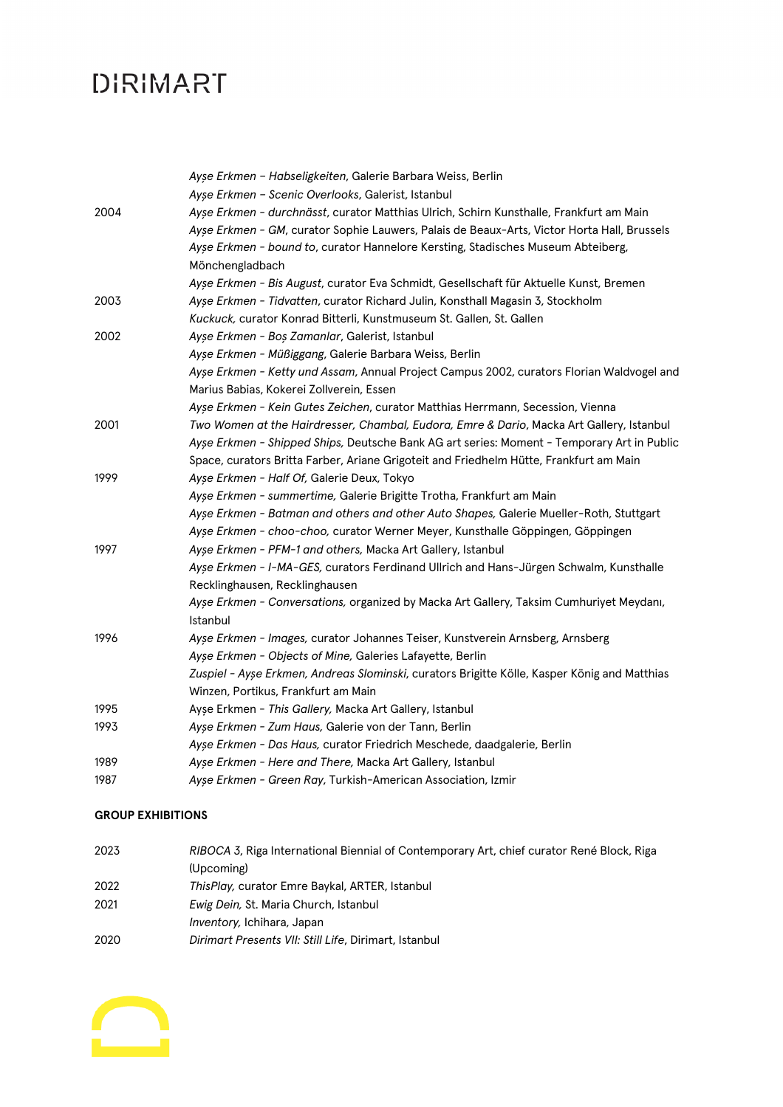|      | Ayşe Erkmen - Habseligkeiten, Galerie Barbara Weiss, Berlin                                  |
|------|----------------------------------------------------------------------------------------------|
|      | Ayşe Erkmen - Scenic Overlooks, Galerist, Istanbul                                           |
| 2004 | Ayse Erkmen - durchnässt, curator Matthias Ulrich, Schirn Kunsthalle, Frankfurt am Main      |
|      | Ayse Erkmen - GM, curator Sophie Lauwers, Palais de Beaux-Arts, Victor Horta Hall, Brussels  |
|      | Ayse Erkmen - bound to, curator Hannelore Kersting, Stadisches Museum Abteiberg,             |
|      | Mönchengladbach                                                                              |
|      | Ayşe Erkmen - Bis August, curator Eva Schmidt, Gesellschaft für Aktuelle Kunst, Bremen       |
| 2003 | Ayse Erkmen - Tidvatten, curator Richard Julin, Konsthall Magasin 3, Stockholm               |
|      | Kuckuck, curator Konrad Bitterli, Kunstmuseum St. Gallen, St. Gallen                         |
| 2002 | Ayşe Erkmen - Boş Zamanlar, Galerist, Istanbul                                               |
|      | Ayşe Erkmen - Müßiggang, Galerie Barbara Weiss, Berlin                                       |
|      | Ayse Erkmen - Ketty und Assam, Annual Project Campus 2002, curators Florian Waldvogel and    |
|      | Marius Babias, Kokerei Zollverein, Essen                                                     |
|      | Ayse Erkmen - Kein Gutes Zeichen, curator Matthias Herrmann, Secession, Vienna               |
| 2001 | Two Women at the Hairdresser, Chambal, Eudora, Emre & Dario, Macka Art Gallery, Istanbul     |
|      | Ayse Erkmen - Shipped Ships, Deutsche Bank AG art series: Moment - Temporary Art in Public   |
|      | Space, curators Britta Farber, Ariane Grigoteit and Friedhelm Hütte, Frankfurt am Main       |
| 1999 | Ayşe Erkmen - Half Of, Galerie Deux, Tokyo                                                   |
|      | Ayse Erkmen - summertime, Galerie Brigitte Trotha, Frankfurt am Main                         |
|      | Ayse Erkmen - Batman and others and other Auto Shapes, Galerie Mueller-Roth, Stuttgart       |
|      | Ayse Erkmen - choo-choo, curator Werner Meyer, Kunsthalle Göppingen, Göppingen               |
| 1997 | Ayşe Erkmen - PFM-1 and others, Macka Art Gallery, Istanbul                                  |
|      | Ayse Erkmen - I-MA-GES, curators Ferdinand Ullrich and Hans-Jürgen Schwalm, Kunsthalle       |
|      | Recklinghausen, Recklinghausen                                                               |
|      | Ayse Erkmen - Conversations, organized by Macka Art Gallery, Taksim Cumhuriyet Meydanı,      |
|      | Istanbul                                                                                     |
| 1996 | Ayse Erkmen - Images, curator Johannes Teiser, Kunstverein Arnsberg, Arnsberg                |
|      | Ayse Erkmen - Objects of Mine, Galeries Lafayette, Berlin                                    |
|      | Zuspiel - Ayșe Erkmen, Andreas Slominski, curators Brigitte Kölle, Kasper König and Matthias |
|      | Winzen, Portikus, Frankfurt am Main                                                          |
| 1995 | Ayşe Erkmen - This Gallery, Macka Art Gallery, Istanbul                                      |
| 1993 | Ayşe Erkmen - Zum Haus, Galerie von der Tann, Berlin                                         |
|      | Ayse Erkmen - Das Haus, curator Friedrich Meschede, daadgalerie, Berlin                      |
| 1989 | Ayse Erkmen - Here and There, Macka Art Gallery, Istanbul                                    |
| 1987 | Ayse Erkmen - Green Ray, Turkish-American Association, Izmir                                 |

#### **GROUP EXHIBITIONS**

| 2023 | RIBOCA 3, Riga International Biennial of Contemporary Art, chief curator René Block, Riga |
|------|-------------------------------------------------------------------------------------------|
|      | (Upcoming)                                                                                |
| 2022 | ThisPlay, curator Emre Baykal, ARTER, Istanbul                                            |
| 2021 | Ewig Dein, St. Maria Church, Istanbul                                                     |
|      | <i>Inventory, Ichihara, Japan</i>                                                         |
| 2020 | Dirimart Presents VII: Still Life, Dirimart, Istanbul                                     |

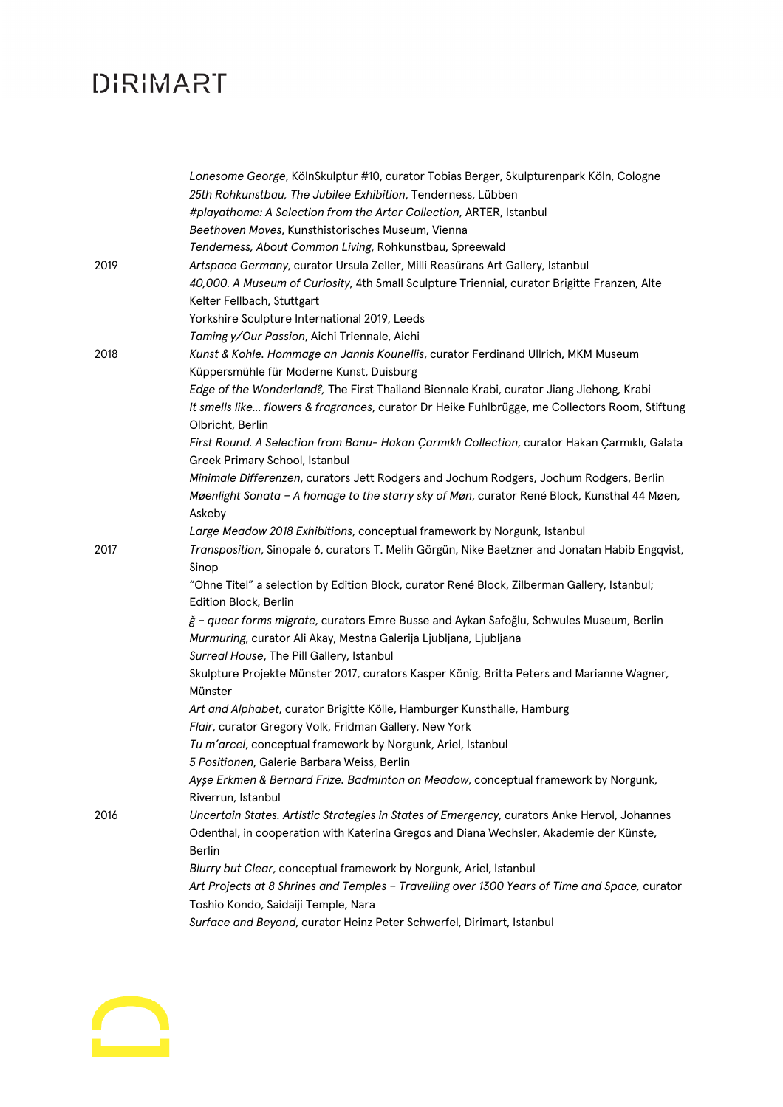|      | Lonesome George, KölnSkulptur #10, curator Tobias Berger, Skulpturenpark Köln, Cologne         |
|------|------------------------------------------------------------------------------------------------|
|      | 25th Rohkunstbau, The Jubilee Exhibition, Tenderness, Lübben                                   |
|      | #playathome: A Selection from the Arter Collection, ARTER, Istanbul                            |
|      | Beethoven Moves, Kunsthistorisches Museum, Vienna                                              |
|      | Tenderness, About Common Living, Rohkunstbau, Spreewald                                        |
| 2019 | Artspace Germany, curator Ursula Zeller, Milli Reasürans Art Gallery, Istanbul                 |
|      | 40,000. A Museum of Curiosity, 4th Small Sculpture Triennial, curator Brigitte Franzen, Alte   |
|      | Kelter Fellbach, Stuttgart                                                                     |
|      | Yorkshire Sculpture International 2019, Leeds                                                  |
|      | Taming y/Our Passion, Aichi Triennale, Aichi                                                   |
| 2018 | Kunst & Kohle. Hommage an Jannis Kounellis, curator Ferdinand Ullrich, MKM Museum              |
|      | Küppersmühle für Moderne Kunst, Duisburg                                                       |
|      | Edge of the Wonderland?, The First Thailand Biennale Krabi, curator Jiang Jiehong, Krabi       |
|      | It smells like flowers & fragrances, curator Dr Heike Fuhlbrügge, me Collectors Room, Stiftung |
|      | Olbricht, Berlin                                                                               |
|      | First Round. A Selection from Banu- Hakan Çarmıklı Collection, curator Hakan Çarmıklı, Galata  |
|      | Greek Primary School, Istanbul                                                                 |
|      | Minimale Differenzen, curators Jett Rodgers and Jochum Rodgers, Jochum Rodgers, Berlin         |
|      | Møenlight Sonata - A homage to the starry sky of Møn, curator René Block, Kunsthal 44 Møen,    |
|      | Askeby                                                                                         |
|      | Large Meadow 2018 Exhibitions, conceptual framework by Norgunk, Istanbul                       |
| 2017 | Transposition, Sinopale 6, curators T. Melih Görgün, Nike Baetzner and Jonatan Habib Engqvist, |
|      | Sinop                                                                                          |
|      | "Ohne Titel" a selection by Edition Block, curator René Block, Zilberman Gallery, Istanbul;    |
|      | Edition Block, Berlin                                                                          |
|      | ğ - queer forms migrate, curators Emre Busse and Aykan Safoğlu, Schwules Museum, Berlin        |
|      | Murmuring, curator Ali Akay, Mestna Galerija Ljubljana, Ljubljana                              |
|      | Surreal House, The Pill Gallery, Istanbul                                                      |
|      | Skulpture Projekte Münster 2017, curators Kasper König, Britta Peters and Marianne Wagner,     |
|      | Münster                                                                                        |
|      | Art and Alphabet, curator Brigitte Kölle, Hamburger Kunsthalle, Hamburg                        |
|      | Flair, curator Gregory Volk, Fridman Gallery, New York                                         |
|      | Tu m'arcel, conceptual framework by Norgunk, Ariel, Istanbul                                   |
|      | 5 Positionen, Galerie Barbara Weiss, Berlin                                                    |
|      | Ayse Erkmen & Bernard Frize. Badminton on Meadow, conceptual framework by Norgunk,             |
|      | Riverrun, Istanbul                                                                             |
| 2016 | Uncertain States. Artistic Strategies in States of Emergency, curators Anke Hervol, Johannes   |
|      | Odenthal, in cooperation with Katerina Gregos and Diana Wechsler, Akademie der Künste,         |
|      | <b>Berlin</b>                                                                                  |
|      | Blurry but Clear, conceptual framework by Norgunk, Ariel, Istanbul                             |
|      | Art Projects at 8 Shrines and Temples - Travelling over 1300 Years of Time and Space, curator  |
|      | Toshio Kondo, Saidaiji Temple, Nara                                                            |
|      | Surface and Beyond, curator Heinz Peter Schwerfel, Dirimart, Istanbul                          |
|      |                                                                                                |

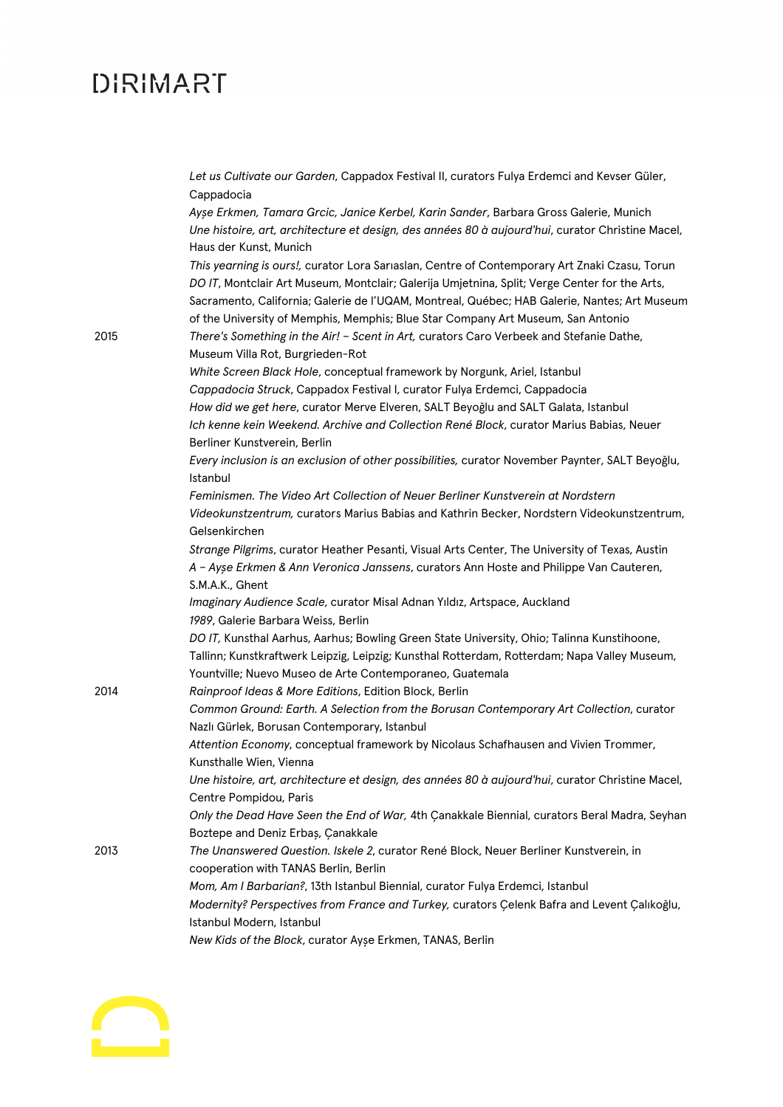|      | Let us Cultivate our Garden, Cappadox Festival II, curators Fulya Erdemci and Kevser Güler,<br>Cappadocia                                                                                                                                                                                      |
|------|------------------------------------------------------------------------------------------------------------------------------------------------------------------------------------------------------------------------------------------------------------------------------------------------|
|      | Ayşe Erkmen, Tamara Grcic, Janice Kerbel, Karin Sander, Barbara Gross Galerie, Munich                                                                                                                                                                                                          |
|      | Une histoire, art, architecture et design, des années 80 à aujourd'hui, curator Christine Macel,                                                                                                                                                                                               |
|      | Haus der Kunst, Munich                                                                                                                                                                                                                                                                         |
|      | This yearning is ours!, curator Lora Sarıaslan, Centre of Contemporary Art Znaki Czasu, Torun<br>DO IT, Montclair Art Museum, Montclair; Galerija Umjetnina, Split; Verge Center for the Arts,<br>Sacramento, California; Galerie de l'UQAM, Montreal, Québec; HAB Galerie, Nantes; Art Museum |
|      | of the University of Memphis, Memphis; Blue Star Company Art Museum, San Antonio                                                                                                                                                                                                               |
| 2015 | There's Something in the Air! - Scent in Art, curators Caro Verbeek and Stefanie Dathe,<br>Museum Villa Rot, Burgrieden-Rot                                                                                                                                                                    |
|      | White Screen Black Hole, conceptual framework by Norgunk, Ariel, Istanbul                                                                                                                                                                                                                      |
|      | Cappadocia Struck, Cappadox Festival I, curator Fulya Erdemci, Cappadocia                                                                                                                                                                                                                      |
|      | How did we get here, curator Merve Elveren, SALT Beyoğlu and SALT Galata, Istanbul                                                                                                                                                                                                             |
|      | Ich kenne kein Weekend. Archive and Collection René Block, curator Marius Babias, Neuer<br>Berliner Kunstverein, Berlin                                                                                                                                                                        |
|      | Every inclusion is an exclusion of other possibilities, curator November Paynter, SALT Beyoğlu,<br>Istanbul                                                                                                                                                                                    |
|      | Feminismen. The Video Art Collection of Neuer Berliner Kunstverein at Nordstern                                                                                                                                                                                                                |
|      | Videokunstzentrum, curators Marius Babias and Kathrin Becker, Nordstern Videokunstzentrum,<br>Gelsenkirchen                                                                                                                                                                                    |
|      | Strange Pilgrims, curator Heather Pesanti, Visual Arts Center, The University of Texas, Austin                                                                                                                                                                                                 |
|      | A - Ayse Erkmen & Ann Veronica Janssens, curators Ann Hoste and Philippe Van Cauteren,<br>S.M.A.K., Ghent                                                                                                                                                                                      |
|      | Imaginary Audience Scale, curator Misal Adnan Yıldız, Artspace, Auckland<br>1989, Galerie Barbara Weiss, Berlin                                                                                                                                                                                |
|      | DO IT, Kunsthal Aarhus, Aarhus; Bowling Green State University, Ohio; Talinna Kunstihoone,                                                                                                                                                                                                     |
|      | Tallinn; Kunstkraftwerk Leipzig, Leipzig; Kunsthal Rotterdam, Rotterdam; Napa Valley Museum,<br>Yountville; Nuevo Museo de Arte Contemporaneo, Guatemala                                                                                                                                       |
| 2014 | Rainproof Ideas & More Editions, Edition Block, Berlin                                                                                                                                                                                                                                         |
|      | Common Ground: Earth. A Selection from the Borusan Contemporary Art Collection, curator<br>Nazlı Gürlek, Borusan Contemporary, Istanbul                                                                                                                                                        |
|      | Attention Economy, conceptual framework by Nicolaus Schafhausen and Vivien Trommer,<br>Kunsthalle Wien, Vienna                                                                                                                                                                                 |
|      | Une histoire, art, architecture et design, des années 80 à aujourd'hui, curator Christine Macel,<br>Centre Pompidou, Paris                                                                                                                                                                     |
|      | Only the Dead Have Seen the End of War, 4th Çanakkale Biennial, curators Beral Madra, Seyhan                                                                                                                                                                                                   |
|      | Boztepe and Deniz Erbaș, Çanakkale                                                                                                                                                                                                                                                             |
| 2013 | The Unanswered Question. Iskele 2, curator René Block, Neuer Berliner Kunstverein, in                                                                                                                                                                                                          |
|      | cooperation with TANAS Berlin, Berlin                                                                                                                                                                                                                                                          |
|      |                                                                                                                                                                                                                                                                                                |
|      | Mom, Am I Barbarian?, 13th Istanbul Biennial, curator Fulya Erdemci, Istanbul<br>Modernity? Perspectives from France and Turkey, curators Çelenk Bafra and Levent Çalıkoğlu,                                                                                                                   |
|      | Istanbul Modern, Istanbul                                                                                                                                                                                                                                                                      |
|      | New Kids of the Block, curator Ayse Erkmen, TANAS, Berlin                                                                                                                                                                                                                                      |

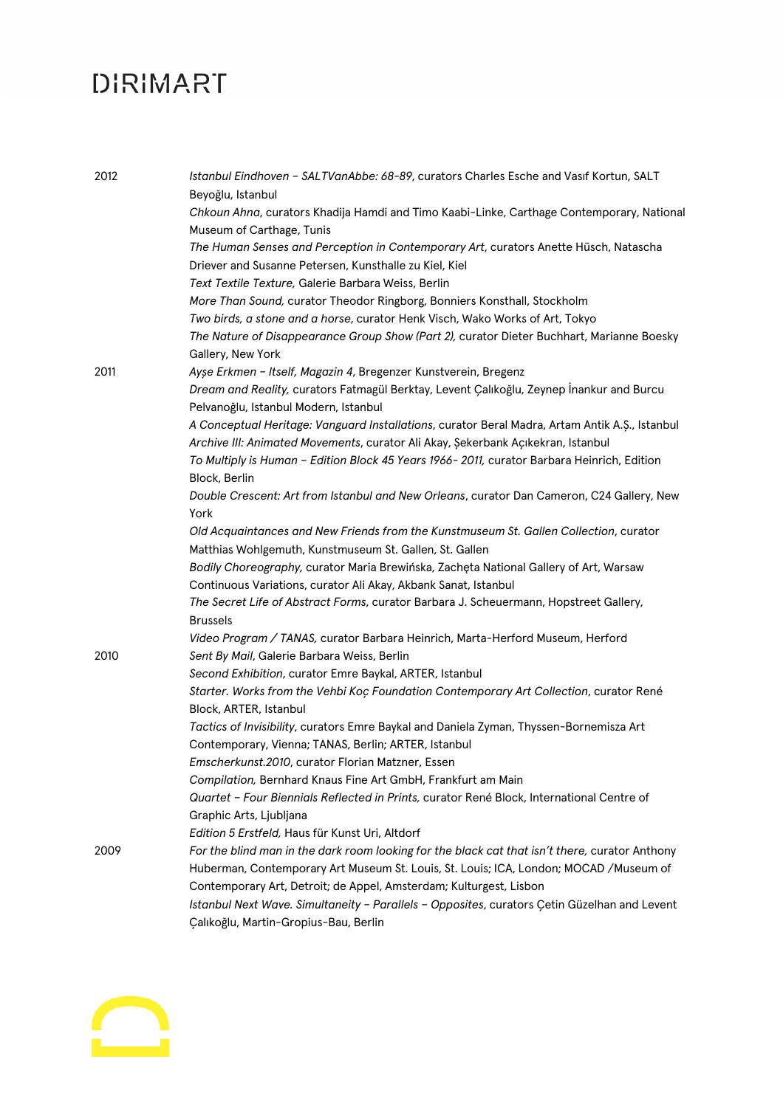| 2012 | Istanbul Eindhoven - SALTVanAbbe: 68-89, curators Charles Esche and Vasif Kortun, SALT<br>Beyoğlu, Istanbul            |
|------|------------------------------------------------------------------------------------------------------------------------|
|      | Chkoun Ahna, curators Khadija Hamdi and Timo Kaabi-Linke, Carthage Contemporary, National<br>Museum of Carthage, Tunis |
|      | The Human Senses and Perception in Contemporary Art, curators Anette Hüsch, Natascha                                   |
|      | Driever and Susanne Petersen, Kunsthalle zu Kiel, Kiel                                                                 |
|      | Text Textile Texture, Galerie Barbara Weiss, Berlin                                                                    |
|      | More Than Sound, curator Theodor Ringborg, Bonniers Konsthall, Stockholm                                               |
|      | Two birds, a stone and a horse, curator Henk Visch, Wako Works of Art, Tokyo                                           |
|      | The Nature of Disappearance Group Show (Part 2), curator Dieter Buchhart, Marianne Boesky                              |
|      | Gallery, New York                                                                                                      |
| 2011 | Ayşe Erkmen - Itself, Magazin 4, Bregenzer Kunstverein, Bregenz                                                        |
|      | Dream and Reality, curators Fatmagül Berktay, Levent Çalıkoğlu, Zeynep İnankur and Burcu                               |
|      | Pelvanoğlu, Istanbul Modern, Istanbul                                                                                  |
|      | A Conceptual Heritage: Vanguard Installations, curator Beral Madra, Artam Antik A.S., Istanbul                         |
|      | Archive III: Animated Movements, curator Ali Akay, Şekerbank Açıkekran, Istanbul                                       |
|      | To Multiply is Human - Edition Block 45 Years 1966-2011, curator Barbara Heinrich, Edition                             |
|      | Block, Berlin                                                                                                          |
|      | Double Crescent: Art from Istanbul and New Orleans, curator Dan Cameron, C24 Gallery, New                              |
|      | York                                                                                                                   |
|      | Old Acquaintances and New Friends from the Kunstmuseum St. Gallen Collection, curator                                  |
|      | Matthias Wohlgemuth, Kunstmuseum St. Gallen, St. Gallen                                                                |
|      | Bodily Choreography, curator Maria Brewińska, Zachęta National Gallery of Art, Warsaw                                  |
|      | Continuous Variations, curator Ali Akay, Akbank Sanat, Istanbul                                                        |
|      | The Secret Life of Abstract Forms, curator Barbara J. Scheuermann, Hopstreet Gallery,                                  |
|      | <b>Brussels</b>                                                                                                        |
|      | Video Program / TANAS, curator Barbara Heinrich, Marta-Herford Museum, Herford                                         |
| 2010 | Sent By Mail, Galerie Barbara Weiss, Berlin                                                                            |
|      | Second Exhibition, curator Emre Baykal, ARTER, Istanbul                                                                |
|      | Starter. Works from the Vehbi Koç Foundation Contemporary Art Collection, curator René                                 |
|      | Block, ARTER, Istanbul                                                                                                 |
|      | Tactics of Invisibility, curators Emre Baykal and Daniela Zyman, Thyssen-Bornemisza Art                                |
|      | Contemporary, Vienna; TANAS, Berlin; ARTER, Istanbul                                                                   |
|      | Emscherkunst.2010, curator Florian Matzner, Essen                                                                      |
|      | Compilation, Bernhard Knaus Fine Art GmbH, Frankfurt am Main                                                           |
|      | Quartet - Four Biennials Reflected in Prints, curator René Block, International Centre of                              |
|      | Graphic Arts, Ljubljana                                                                                                |
|      | Edition 5 Erstfeld, Haus für Kunst Uri, Altdorf                                                                        |
| 2009 | For the blind man in the dark room looking for the black cat that isn't there, curator Anthony                         |
|      | Huberman, Contemporary Art Museum St. Louis, St. Louis; ICA, London; MOCAD / Museum of                                 |
|      | Contemporary Art, Detroit; de Appel, Amsterdam; Kulturgest, Lisbon                                                     |
|      | Istanbul Next Wave. Simultaneity - Parallels - Opposites, curators Çetin Güzelhan and Levent                           |
|      | Çalıkoğlu, Martin-Gropius-Bau, Berlin                                                                                  |

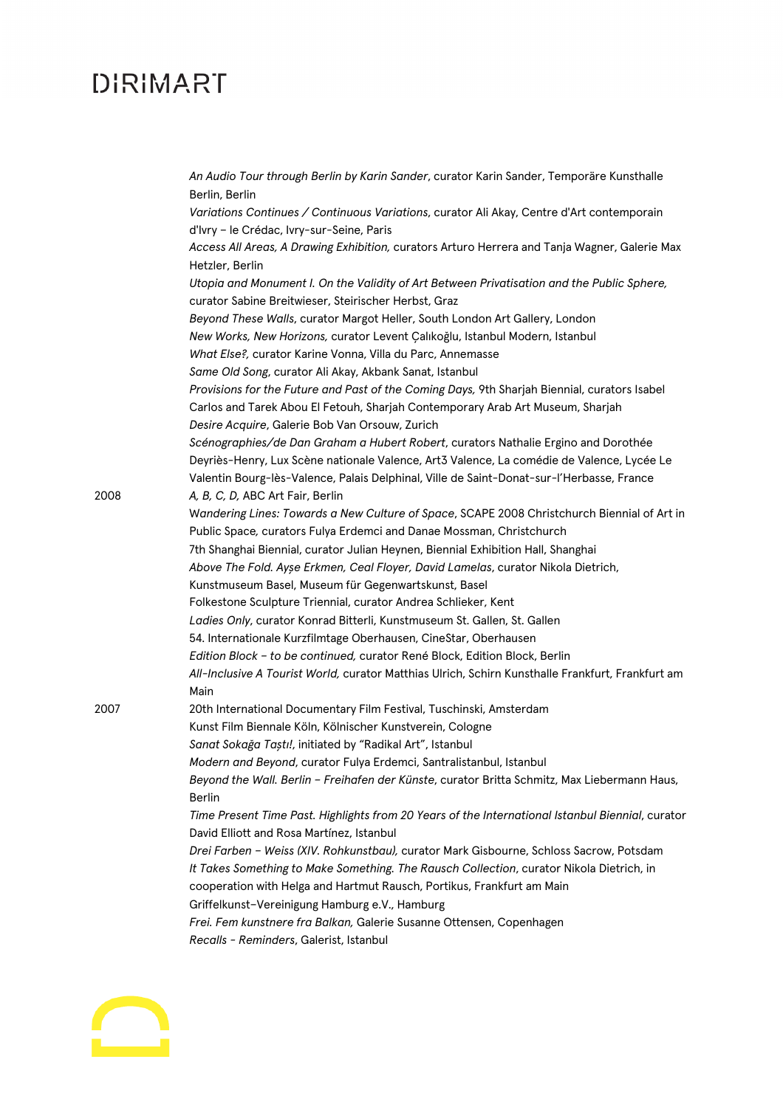|      | An Audio Tour through Berlin by Karin Sander, curator Karin Sander, Temporäre Kunsthalle<br>Berlin, Berlin                                         |
|------|----------------------------------------------------------------------------------------------------------------------------------------------------|
|      | Variations Continues / Continuous Variations, curator Ali Akay, Centre d'Art contemporain<br>d'Ivry - le Crédac, Ivry-sur-Seine, Paris             |
|      | Access All Areas, A Drawing Exhibition, curators Arturo Herrera and Tanja Wagner, Galerie Max<br>Hetzler, Berlin                                   |
|      | Utopia and Monument I. On the Validity of Art Between Privatisation and the Public Sphere,<br>curator Sabine Breitwieser, Steirischer Herbst, Graz |
|      | Beyond These Walls, curator Margot Heller, South London Art Gallery, London                                                                        |
|      | New Works, New Horizons, curator Levent Çalıkoğlu, Istanbul Modern, Istanbul                                                                       |
|      | What Else?, curator Karine Vonna, Villa du Parc, Annemasse                                                                                         |
|      | Same Old Song, curator Ali Akay, Akbank Sanat, Istanbul                                                                                            |
|      | Provisions for the Future and Past of the Coming Days, 9th Sharjah Biennial, curators Isabel                                                       |
|      | Carlos and Tarek Abou El Fetouh, Sharjah Contemporary Arab Art Museum, Sharjah                                                                     |
|      | Desire Acquire, Galerie Bob Van Orsouw, Zurich                                                                                                     |
|      | Scénographies/de Dan Graham a Hubert Robert, curators Nathalie Ergino and Dorothée                                                                 |
|      | Deyriès-Henry, Lux Scène nationale Valence, Art3 Valence, La comédie de Valence, Lycée Le                                                          |
|      | Valentin Bourg-lès-Valence, Palais Delphinal, Ville de Saint-Donat-sur-l'Herbasse, France                                                          |
| 2008 | A, B, C, D, ABC Art Fair, Berlin                                                                                                                   |
|      | Wandering Lines: Towards a New Culture of Space, SCAPE 2008 Christchurch Biennial of Art in                                                        |
|      | Public Space, curators Fulya Erdemci and Danae Mossman, Christchurch                                                                               |
|      | 7th Shanghai Biennial, curator Julian Heynen, Biennial Exhibition Hall, Shanghai                                                                   |
|      | Above The Fold. Ayse Erkmen, Ceal Floyer, David Lamelas, curator Nikola Dietrich,                                                                  |
|      | Kunstmuseum Basel, Museum für Gegenwartskunst, Basel                                                                                               |
|      | Folkestone Sculpture Triennial, curator Andrea Schlieker, Kent                                                                                     |
|      | Ladies Only, curator Konrad Bitterli, Kunstmuseum St. Gallen, St. Gallen                                                                           |
|      | 54. Internationale Kurzfilmtage Oberhausen, CineStar, Oberhausen                                                                                   |
|      | Edition Block - to be continued, curator René Block, Edition Block, Berlin                                                                         |
|      | All-Inclusive A Tourist World, curator Matthias Ulrich, Schirn Kunsthalle Frankfurt, Frankfurt am<br>Main                                          |
| 2007 | 20th International Documentary Film Festival, Tuschinski, Amsterdam                                                                                |
|      | Kunst Film Biennale Köln, Kölnischer Kunstverein, Cologne                                                                                          |
|      | Sanat Sokağa Taştı!, initiated by "Radikal Art", Istanbul                                                                                          |
|      | Modern and Beyond, curator Fulya Erdemci, Santralistanbul, Istanbul                                                                                |
|      | Beyond the Wall. Berlin - Freihafen der Künste, curator Britta Schmitz, Max Liebermann Haus,<br>Berlin                                             |
|      | Time Present Time Past. Highlights from 20 Years of the International Istanbul Biennial, curator<br>David Elliott and Rosa Martínez, Istanbul      |
|      | Drei Farben - Weiss (XIV. Rohkunstbau), curator Mark Gisbourne, Schloss Sacrow, Potsdam                                                            |
|      | It Takes Something to Make Something. The Rausch Collection, curator Nikola Dietrich, in                                                           |
|      | cooperation with Helga and Hartmut Rausch, Portikus, Frankfurt am Main                                                                             |
|      | Griffelkunst-Vereinigung Hamburg e.V., Hamburg                                                                                                     |
|      | Frei. Fem kunstnere fra Balkan, Galerie Susanne Ottensen, Copenhagen                                                                               |
|      | Recalls - Reminders, Galerist, Istanbul                                                                                                            |
|      |                                                                                                                                                    |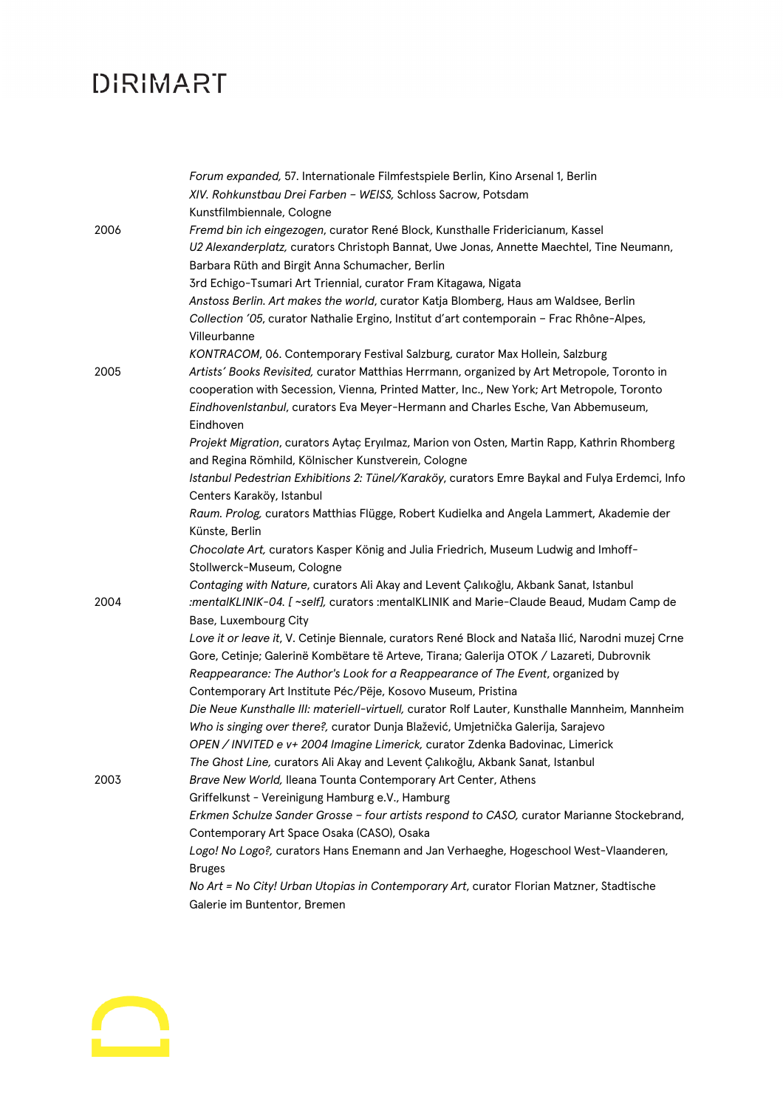|      | Forum expanded, 57. Internationale Filmfestspiele Berlin, Kino Arsenal 1, Berlin                  |
|------|---------------------------------------------------------------------------------------------------|
|      | XIV. Rohkunstbau Drei Farben - WEISS, Schloss Sacrow, Potsdam                                     |
|      | Kunstfilmbiennale, Cologne                                                                        |
| 2006 | Fremd bin ich eingezogen, curator René Block, Kunsthalle Fridericianum, Kassel                    |
|      | U2 Alexanderplatz, curators Christoph Bannat, Uwe Jonas, Annette Maechtel, Tine Neumann,          |
|      | Barbara Rüth and Birgit Anna Schumacher, Berlin                                                   |
|      | 3rd Echigo-Tsumari Art Triennial, curator Fram Kitagawa, Nigata                                   |
|      | Anstoss Berlin. Art makes the world, curator Katja Blomberg, Haus am Waldsee, Berlin              |
|      | Collection '05, curator Nathalie Ergino, Institut d'art contemporain - Frac Rhône-Alpes,          |
|      | Villeurbanne                                                                                      |
|      | KONTRACOM, 06. Contemporary Festival Salzburg, curator Max Hollein, Salzburg                      |
| 2005 | Artists' Books Revisited, curator Matthias Herrmann, organized by Art Metropole, Toronto in       |
|      | cooperation with Secession, Vienna, Printed Matter, Inc., New York; Art Metropole, Toronto        |
|      | EindhovenIstanbul, curators Eva Meyer-Hermann and Charles Esche, Van Abbemuseum,                  |
|      | Eindhoven                                                                                         |
|      | Projekt Migration, curators Aytaç Eryılmaz, Marion von Osten, Martin Rapp, Kathrin Rhomberg       |
|      | and Regina Römhild, Kölnischer Kunstverein, Cologne                                               |
|      | Istanbul Pedestrian Exhibitions 2: Tünel/Karaköy, curators Emre Baykal and Fulya Erdemci, Info    |
|      | Centers Karaköy, Istanbul                                                                         |
|      | Raum. Prolog, curators Matthias Flügge, Robert Kudielka and Angela Lammert, Akademie der          |
|      | Künste, Berlin                                                                                    |
|      | Chocolate Art, curators Kasper König and Julia Friedrich, Museum Ludwig and Imhoff-               |
|      | Stollwerck-Museum, Cologne                                                                        |
|      | Contaging with Nature, curators Ali Akay and Levent Çalıkoğlu, Akbank Sanat, Istanbul             |
| 2004 | :mentalKLINIK-04. [~self], curators :mentalKLINIK and Marie-Claude Beaud, Mudam Camp de           |
|      | Base, Luxembourg City                                                                             |
|      | Love it or leave it, V. Cetinje Biennale, curators René Block and Nataša Ilić, Narodni muzej Crne |
|      | Gore, Cetinje; Galerinë Kombëtare të Arteve, Tirana; Galerija OTOK / Lazareti, Dubrovnik          |
|      | Reappearance: The Author's Look for a Reappearance of The Event, organized by                     |
|      | Contemporary Art Institute Péc/Pëje, Kosovo Museum, Pristina                                      |
|      | Die Neue Kunsthalle III: materiell-virtuell, curator Rolf Lauter, Kunsthalle Mannheim, Mannheim   |
|      | Who is singing over there?, curator Dunja Blažević, Umjetnička Galerija, Sarajevo                 |
|      | OPEN / INVITED e v+ 2004 Imagine Limerick, curator Zdenka Badovinac, Limerick                     |
|      | The Ghost Line, curators Ali Akay and Levent Çalıkoğlu, Akbank Sanat, Istanbul                    |
| 2003 | Brave New World, Ileana Tounta Contemporary Art Center, Athens                                    |
|      | Griffelkunst - Vereinigung Hamburg e.V., Hamburg                                                  |
|      | Erkmen Schulze Sander Grosse - four artists respond to CASO, curator Marianne Stockebrand,        |
|      | Contemporary Art Space Osaka (CASO), Osaka                                                        |
|      | Logo! No Logo?, curators Hans Enemann and Jan Verhaeghe, Hogeschool West-Vlaanderen,              |
|      | <b>Bruges</b>                                                                                     |
|      | No Art = No City! Urban Utopias in Contemporary Art, curator Florian Matzner, Stadtische          |
|      | Galerie im Buntentor, Bremen                                                                      |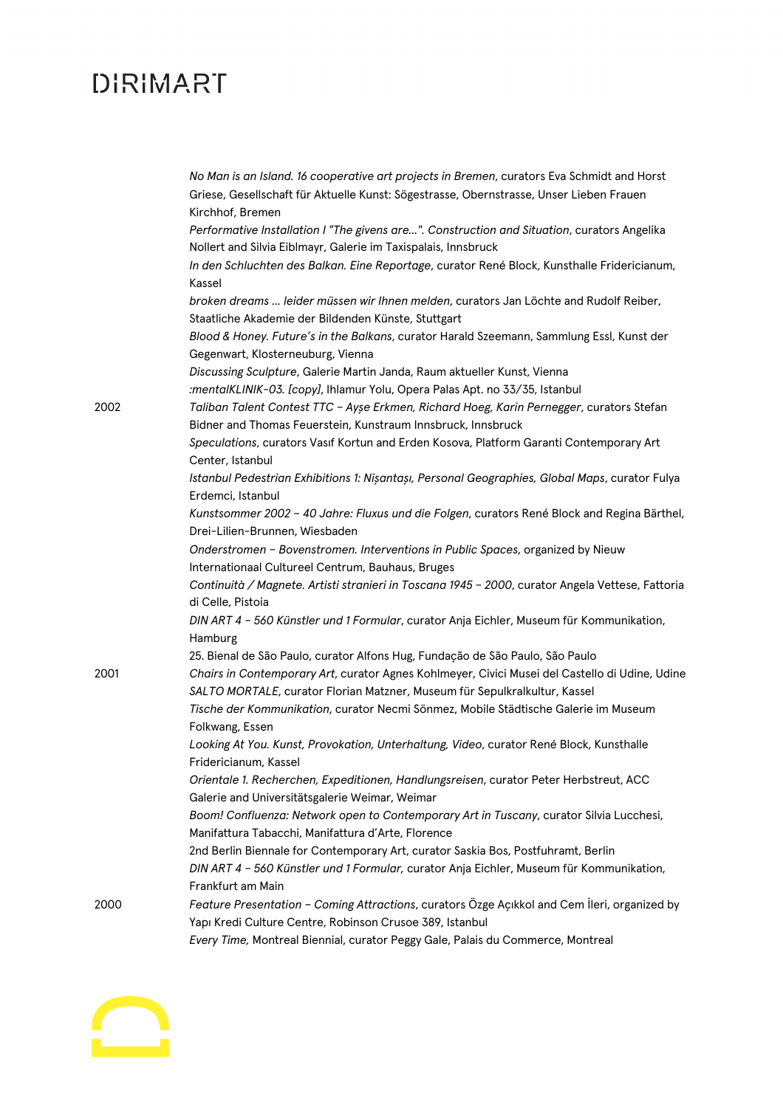|      | No Man is an Island. 16 cooperative art projects in Bremen, curators Eva Schmidt and Horst       |
|------|--------------------------------------------------------------------------------------------------|
|      | Griese, Gesellschaft für Aktuelle Kunst: Sögestrasse, Obernstrasse, Unser Lieben Frauen          |
|      | Kirchhof, Bremen                                                                                 |
|      | Performative Installation I "The givens are". Construction and Situation, curators Angelika      |
|      | Nollert and Silvia Eiblmayr, Galerie im Taxispalais, Innsbruck                                   |
|      | In den Schluchten des Balkan. Eine Reportage, curator René Block, Kunsthalle Fridericianum,      |
|      | Kassel                                                                                           |
|      | broken dreams  leider müssen wir Ihnen melden, curators Jan Löchte and Rudolf Reiber,            |
|      | Staatliche Akademie der Bildenden Künste, Stuttgart                                              |
|      | Blood & Honey. Future's in the Balkans, curator Harald Szeemann, Sammlung Essl, Kunst der        |
|      | Gegenwart, Klosterneuburg, Vienna                                                                |
|      | Discussing Sculpture, Galerie Martin Janda, Raum aktueller Kunst, Vienna                         |
|      | :mentalKLINIK-03. [copy], Ihlamur Yolu, Opera Palas Apt. no 33/35, Istanbul                      |
| 2002 | Taliban Talent Contest TTC - Ayşe Erkmen, Richard Hoeg, Karin Pernegger, curators Stefan         |
|      | Bidner and Thomas Feuerstein, Kunstraum Innsbruck, Innsbruck                                     |
|      | Speculations, curators Vasif Kortun and Erden Kosova, Platform Garanti Contemporary Art          |
|      | Center, Istanbul                                                                                 |
|      | Istanbul Pedestrian Exhibitions 1: Nișantașı, Personal Geographies, Global Maps, curator Fulya   |
|      | Erdemci, Istanbul                                                                                |
|      | Kunstsommer 2002 - 40 Jahre: Fluxus und die Folgen, curators René Block and Regina Bärthel,      |
|      | Drei-Lilien-Brunnen, Wiesbaden                                                                   |
|      | Onderstromen - Bovenstromen. Interventions in Public Spaces, organized by Nieuw                  |
|      | Internationaal Cultureel Centrum, Bauhaus, Bruges                                                |
|      | Continuità / Magnete. Artisti stranieri in Toscana 1945 - 2000, curator Angela Vettese, Fattoria |
|      | di Celle, Pistoia                                                                                |
|      | DIN ART 4 - 560 Künstler und 1 Formular, curator Anja Eichler, Museum für Kommunikation,         |
|      | Hamburg                                                                                          |
|      | 25. Bienal de São Paulo, curator Alfons Hug, Fundação de São Paulo, São Paulo                    |
| 2001 | Chairs in Contemporary Art, curator Agnes Kohlmeyer, Civici Musei del Castello di Udine, Udine   |
|      | SALTO MORTALE, curator Florian Matzner, Museum für Sepulkralkultur, Kassel                       |
|      | Tische der Kommunikation, curator Necmi Sönmez, Mobile Städtische Galerie im Museum              |
|      | Folkwang, Essen                                                                                  |
|      | Looking At You. Kunst, Provokation, Unterhaltung, Video, curator René Block, Kunsthalle          |
|      | Fridericianum, Kassel                                                                            |
|      | Orientale 1. Recherchen, Expeditionen, Handlungsreisen, curator Peter Herbstreut, ACC            |
|      | Galerie and Universitätsgalerie Weimar, Weimar                                                   |
|      | Boom! Confluenza: Network open to Contemporary Art in Tuscany, curator Silvia Lucchesi,          |
|      | Manifattura Tabacchi, Manifattura d'Arte, Florence                                               |
|      | 2nd Berlin Biennale for Contemporary Art, curator Saskia Bos, Postfuhramt, Berlin                |
|      | DIN ART 4 - 560 Künstler und 1 Formular, curator Anja Eichler, Museum für Kommunikation,         |
|      | Frankfurt am Main                                                                                |
| 2000 | Feature Presentation - Coming Attractions, curators Özge Açıkkol and Cem İleri, organized by     |
|      | Yapı Kredi Culture Centre, Robinson Crusoe 389, Istanbul                                         |
|      |                                                                                                  |
|      | Every Time, Montreal Biennial, curator Peggy Gale, Palais du Commerce, Montreal                  |

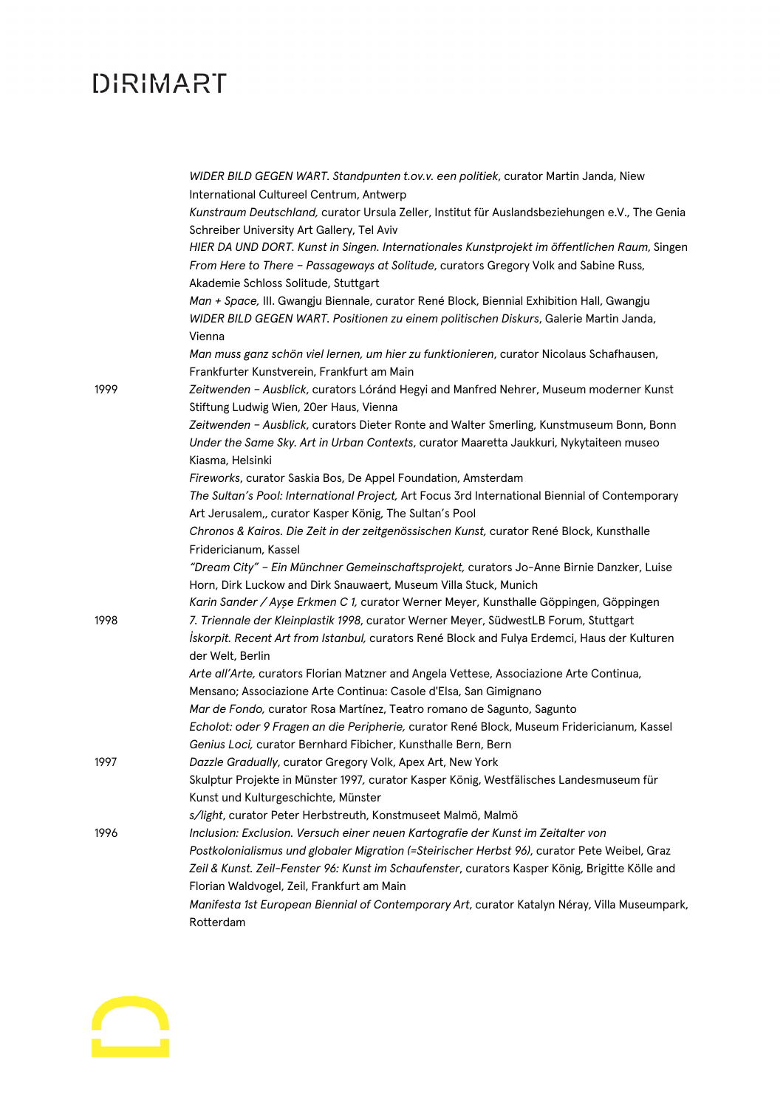|      | WIDER BILD GEGEN WART. Standpunten t.ov.v. een politiek, curator Martin Janda, Niew<br>International Cultureel Centrum, Antwerp |
|------|---------------------------------------------------------------------------------------------------------------------------------|
|      | Kunstraum Deutschland, curator Ursula Zeller, Institut für Auslandsbeziehungen e.V., The Genia                                  |
|      | Schreiber University Art Gallery, Tel Aviv                                                                                      |
|      | HIER DA UND DORT. Kunst in Singen. Internationales Kunstprojekt im öffentlichen Raum, Singen                                    |
|      | From Here to There - Passageways at Solitude, curators Gregory Volk and Sabine Russ,                                            |
|      | Akademie Schloss Solitude, Stuttgart                                                                                            |
|      | Man + Space, III. Gwangju Biennale, curator René Block, Biennial Exhibition Hall, Gwangju                                       |
|      | WIDER BILD GEGEN WART. Positionen zu einem politischen Diskurs, Galerie Martin Janda,                                           |
|      | Vienna                                                                                                                          |
|      | Man muss ganz schön viel lernen, um hier zu funktionieren, curator Nicolaus Schafhausen,                                        |
|      | Frankfurter Kunstverein, Frankfurt am Main                                                                                      |
| 1999 | Zeitwenden - Ausblick, curators Lóránd Hegyi and Manfred Nehrer, Museum moderner Kunst                                          |
|      | Stiftung Ludwig Wien, 20er Haus, Vienna                                                                                         |
|      | Zeitwenden - Ausblick, curators Dieter Ronte and Walter Smerling, Kunstmuseum Bonn, Bonn                                        |
|      | Under the Same Sky. Art in Urban Contexts, curator Maaretta Jaukkuri, Nykytaiteen museo                                         |
|      | Kiasma, Helsinki                                                                                                                |
|      | Fireworks, curator Saskia Bos, De Appel Foundation, Amsterdam                                                                   |
|      | The Sultan's Pool: International Project, Art Focus 3rd International Biennial of Contemporary                                  |
|      | Art Jerusalem,, curator Kasper König, The Sultan's Pool                                                                         |
|      | Chronos & Kairos. Die Zeit in der zeitgenössischen Kunst, curator René Block, Kunsthalle                                        |
|      | Fridericianum, Kassel                                                                                                           |
|      | "Dream City" - Ein Münchner Gemeinschaftsprojekt, curators Jo-Anne Birnie Danzker, Luise                                        |
|      | Horn, Dirk Luckow and Dirk Snauwaert, Museum Villa Stuck, Munich                                                                |
|      | Karin Sander / Ayşe Erkmen C 1, curator Werner Meyer, Kunsthalle Göppingen, Göppingen                                           |
| 1998 | 7. Triennale der Kleinplastik 1998, curator Werner Meyer, SüdwestLB Forum, Stuttgart                                            |
|      | Iskorpit. Recent Art from Istanbul, curators René Block and Fulya Erdemci, Haus der Kulturen<br>der Welt, Berlin                |
|      | Arte all'Arte, curators Florian Matzner and Angela Vettese, Associazione Arte Continua,                                         |
|      | Mensano; Associazione Arte Continua: Casole d'Elsa, San Gimignano                                                               |
|      | Mar de Fondo, curator Rosa Martínez, Teatro romano de Sagunto, Sagunto                                                          |
|      | Echolot: oder 9 Fragen an die Peripherie, curator René Block, Museum Fridericianum, Kassel                                      |
|      | Genius Loci, curator Bernhard Fibicher, Kunsthalle Bern, Bern                                                                   |
| 1997 | Dazzle Gradually, curator Gregory Volk, Apex Art, New York                                                                      |
|      | Skulptur Projekte in Münster 1997, curator Kasper König, Westfälisches Landesmuseum für                                         |
|      | Kunst und Kulturgeschichte, Münster                                                                                             |
|      | s/light, curator Peter Herbstreuth, Konstmuseet Malmö, Malmö                                                                    |
| 1996 | Inclusion: Exclusion. Versuch einer neuen Kartografie der Kunst im Zeitalter von                                                |
|      | Postkolonialismus und globaler Migration (=Steirischer Herbst 96), curator Pete Weibel, Graz                                    |
|      | Zeil & Kunst. Zeil-Fenster 96: Kunst im Schaufenster, curators Kasper König, Brigitte Kölle and                                 |
|      | Florian Waldvogel, Zeil, Frankfurt am Main                                                                                      |
|      | Manifesta 1st European Biennial of Contemporary Art, curator Katalyn Néray, Villa Museumpark,                                   |
|      | Rotterdam                                                                                                                       |

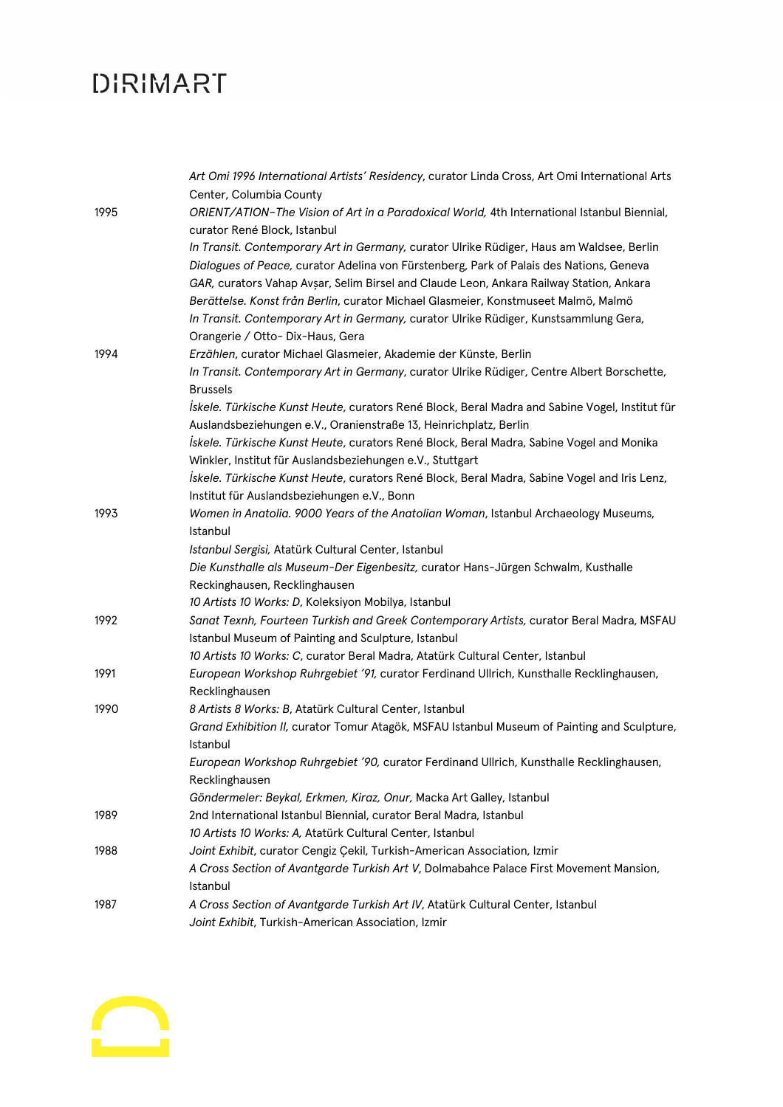|      | Art Omi 1996 International Artists' Residency, curator Linda Cross, Art Omi International Arts<br>Center, Columbia County                                                                                                                                                                                                                                        |
|------|------------------------------------------------------------------------------------------------------------------------------------------------------------------------------------------------------------------------------------------------------------------------------------------------------------------------------------------------------------------|
| 1995 | ORIENT/ATION-The Vision of Art in a Paradoxical World, 4th International Istanbul Biennial,                                                                                                                                                                                                                                                                      |
|      | curator René Block, Istanbul                                                                                                                                                                                                                                                                                                                                     |
|      | In Transit. Contemporary Art in Germany, curator Ulrike Rüdiger, Haus am Waldsee, Berlin                                                                                                                                                                                                                                                                         |
|      | Dialogues of Peace, curator Adelina von Fürstenberg, Park of Palais des Nations, Geneva<br>GAR, curators Vahap Avșar, Selim Birsel and Claude Leon, Ankara Railway Station, Ankara<br>Berättelse. Konst från Berlin, curator Michael Glasmeier, Konstmuseet Malmö, Malmö<br>In Transit. Contemporary Art in Germany, curator Ulrike Rüdiger, Kunstsammlung Gera, |
| 1994 | Orangerie / Otto- Dix-Haus, Gera<br>Erzählen, curator Michael Glasmeier, Akademie der Künste, Berlin                                                                                                                                                                                                                                                             |
|      | In Transit. Contemporary Art in Germany, curator Ulrike Rüdiger, Centre Albert Borschette,                                                                                                                                                                                                                                                                       |
|      | <b>Brussels</b>                                                                                                                                                                                                                                                                                                                                                  |
|      | Iskele. Türkische Kunst Heute, curators René Block, Beral Madra and Sabine Vogel, Institut für                                                                                                                                                                                                                                                                   |
|      | Auslandsbeziehungen e.V., Oranienstraße 13, Heinrichplatz, Berlin                                                                                                                                                                                                                                                                                                |
|      | Iskele. Türkische Kunst Heute, curators René Block, Beral Madra, Sabine Vogel and Monika                                                                                                                                                                                                                                                                         |
|      | Winkler, Institut für Auslandsbeziehungen e.V., Stuttgart                                                                                                                                                                                                                                                                                                        |
|      | İskele. Türkische Kunst Heute, curators René Block, Beral Madra, Sabine Vogel and Iris Lenz,                                                                                                                                                                                                                                                                     |
|      | Institut für Auslandsbeziehungen e.V., Bonn                                                                                                                                                                                                                                                                                                                      |
| 1993 | Women in Anatolia. 9000 Years of the Anatolian Woman, Istanbul Archaeology Museums,                                                                                                                                                                                                                                                                              |
|      | Istanbul                                                                                                                                                                                                                                                                                                                                                         |
|      | Istanbul Sergisi, Atatürk Cultural Center, Istanbul                                                                                                                                                                                                                                                                                                              |
|      | Die Kunsthalle als Museum-Der Eigenbesitz, curator Hans-Jürgen Schwalm, Kusthalle                                                                                                                                                                                                                                                                                |
|      | Reckinghausen, Recklinghausen                                                                                                                                                                                                                                                                                                                                    |
|      | 10 Artists 10 Works: D, Koleksiyon Mobilya, Istanbul                                                                                                                                                                                                                                                                                                             |
| 1992 | Sanat Texnh, Fourteen Turkish and Greek Contemporary Artists, curator Beral Madra, MSFAU                                                                                                                                                                                                                                                                         |
|      | Istanbul Museum of Painting and Sculpture, Istanbul                                                                                                                                                                                                                                                                                                              |
|      | 10 Artists 10 Works: C, curator Beral Madra, Atatürk Cultural Center, Istanbul                                                                                                                                                                                                                                                                                   |
| 1991 | European Workshop Ruhrgebiet '91, curator Ferdinand Ullrich, Kunsthalle Recklinghausen,<br>Recklinghausen                                                                                                                                                                                                                                                        |
| 1990 | 8 Artists 8 Works: B, Atatürk Cultural Center, Istanbul                                                                                                                                                                                                                                                                                                          |
|      | Grand Exhibition II, curator Tomur Atagök, MSFAU Istanbul Museum of Painting and Sculpture,                                                                                                                                                                                                                                                                      |
|      | Istanbul                                                                                                                                                                                                                                                                                                                                                         |
|      | European Workshop Ruhrgebiet '90, curator Ferdinand Ullrich, Kunsthalle Recklinghausen,                                                                                                                                                                                                                                                                          |
|      | Recklinghausen                                                                                                                                                                                                                                                                                                                                                   |
|      | Göndermeler: Beykal, Erkmen, Kiraz, Onur, Macka Art Galley, Istanbul                                                                                                                                                                                                                                                                                             |
| 1989 | 2nd International Istanbul Biennial, curator Beral Madra, Istanbul                                                                                                                                                                                                                                                                                               |
|      | 10 Artists 10 Works: A, Atatürk Cultural Center, Istanbul                                                                                                                                                                                                                                                                                                        |
| 1988 | Joint Exhibit, curator Cengiz Çekil, Turkish-American Association, Izmir                                                                                                                                                                                                                                                                                         |
|      | A Cross Section of Avantgarde Turkish Art V, Dolmabahce Palace First Movement Mansion,                                                                                                                                                                                                                                                                           |
|      | Istanbul                                                                                                                                                                                                                                                                                                                                                         |
| 1987 | A Cross Section of Avantgarde Turkish Art IV, Atatürk Cultural Center, Istanbul                                                                                                                                                                                                                                                                                  |
|      | Joint Exhibit, Turkish-American Association, Izmir                                                                                                                                                                                                                                                                                                               |

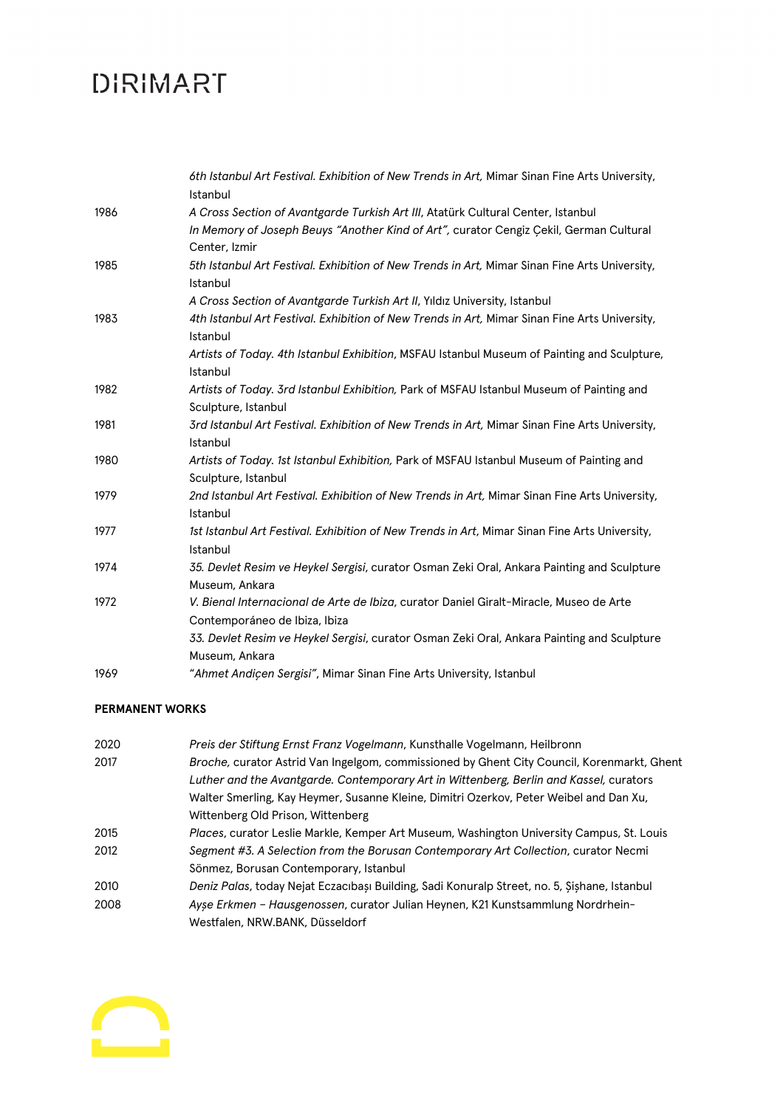|      | 6th Istanbul Art Festival. Exhibition of New Trends in Art, Mimar Sinan Fine Arts University,<br>Istanbul               |
|------|-------------------------------------------------------------------------------------------------------------------------|
| 1986 | A Cross Section of Avantgarde Turkish Art III, Atatürk Cultural Center, Istanbul                                        |
|      | In Memory of Joseph Beuys "Another Kind of Art", curator Cengiz Çekil, German Cultural                                  |
|      | Center, Izmir                                                                                                           |
| 1985 | 5th Istanbul Art Festival. Exhibition of New Trends in Art, Mimar Sinan Fine Arts University,<br>Istanbul               |
|      | A Cross Section of Avantgarde Turkish Art II, Yıldız University, Istanbul                                               |
| 1983 | 4th Istanbul Art Festival. Exhibition of New Trends in Art, Mimar Sinan Fine Arts University,<br>Istanbul               |
|      | Artists of Today. 4th Istanbul Exhibition, MSFAU Istanbul Museum of Painting and Sculpture,<br>Istanbul                 |
| 1982 | Artists of Today. 3rd Istanbul Exhibition, Park of MSFAU Istanbul Museum of Painting and                                |
|      | Sculpture, Istanbul                                                                                                     |
| 1981 | 3rd Istanbul Art Festival. Exhibition of New Trends in Art, Mimar Sinan Fine Arts University,<br>Istanbul               |
| 1980 | Artists of Today. 1st Istanbul Exhibition, Park of MSFAU Istanbul Museum of Painting and                                |
|      | Sculpture, Istanbul                                                                                                     |
| 1979 | 2nd Istanbul Art Festival. Exhibition of New Trends in Art, Mimar Sinan Fine Arts University,<br>Istanbul               |
| 1977 | 1st Istanbul Art Festival. Exhibition of New Trends in Art, Mimar Sinan Fine Arts University,<br>Istanbul               |
| 1974 | 35. Devlet Resim ve Heykel Sergisi, curator Osman Zeki Oral, Ankara Painting and Sculpture<br>Museum, Ankara            |
| 1972 | V. Bienal Internacional de Arte de Ibiza, curator Daniel Giralt-Miracle, Museo de Arte<br>Contemporáneo de Ibiza, Ibiza |
|      | 33. Devlet Resim ve Heykel Sergisi, curator Osman Zeki Oral, Ankara Painting and Sculpture                              |
|      | Museum, Ankara                                                                                                          |
| 1969 | "Ahmet Andicen Sergisi", Mimar Sinan Fine Arts University, Istanbul                                                     |
|      |                                                                                                                         |

#### **PERMANENT WORKS**

| 2020 | Preis der Stiftung Ernst Franz Vogelmann, Kunsthalle Vogelmann, Heilbronn                    |
|------|----------------------------------------------------------------------------------------------|
| 2017 | Broche, curator Astrid Van Ingelgom, commissioned by Ghent City Council, Korenmarkt, Ghent   |
|      | Luther and the Avantgarde. Contemporary Art in Wittenberg, Berlin and Kassel, curators       |
|      | Walter Smerling, Kay Heymer, Susanne Kleine, Dimitri Ozerkov, Peter Weibel and Dan Xu,       |
|      | Wittenberg Old Prison, Wittenberg                                                            |
| 2015 | Places, curator Leslie Markle, Kemper Art Museum, Washington University Campus, St. Louis    |
| 2012 | Segment #3. A Selection from the Borusan Contemporary Art Collection, curator Necmi          |
|      | Sönmez, Borusan Contemporary, Istanbul                                                       |
| 2010 | Deniz Palas, today Nejat Eczacıbaşı Building, Sadi Konuralp Street, no. 5, Şişhane, Istanbul |
| 2008 | Ayse Erkmen – Hausgenossen, curator Julian Heynen, K21 Kunstsammlung Nordrhein-              |
|      | Westfalen, NRW.BANK, Düsseldorf                                                              |